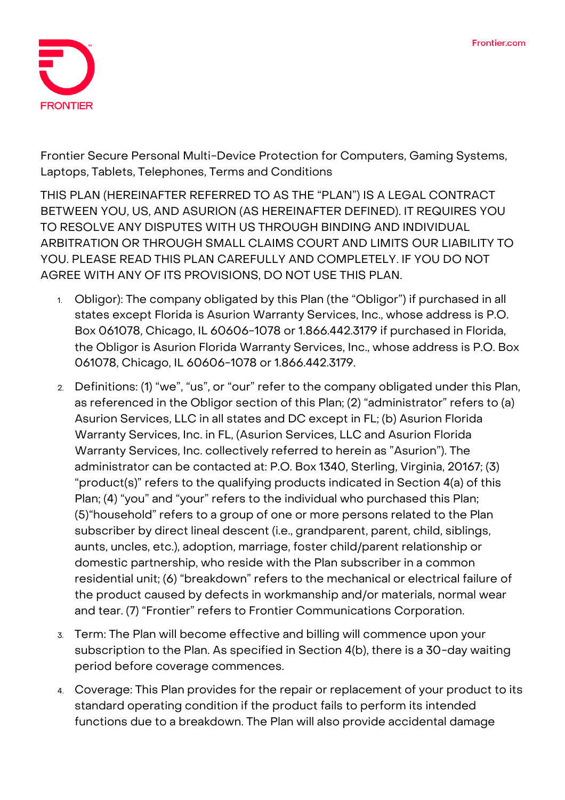

**Frontier Secure Personal Multi-Device Protection for Computers, Gaming Systems, Laptops, Tablets, Telephones, Terms and Conditions**

**THIS PLAN (HEREINAFTER REFERRED TO AS THE "PLAN") IS A LEGAL CONTRACT BETWEEN YOU, US, AND ASURION (AS HEREINAFTER DEFINED). IT REQUIRES YOU TO RESOLVE ANY DISPUTES WITH US THROUGH BINDING AND INDIVIDUAL ARBITRATION OR THROUGH SMALL CLAIMS COURT AND LIMITS OUR LIABILITY TO YOU. PLEASE READ THIS PLAN CAREFULLY AND COMPLETELY. IF YOU DO NOT AGREE WITH ANY OF ITS PROVISIONS, DO NOT USE THIS PLAN.** 

- 1. **Obligor):** The company obligated by this Plan (the "Obligor") if purchased in all states except Florida is Asurion Warranty Services, Inc., whose address is P.O. Box 061078, Chicago, IL 60606-1078 or 1.866.442.3179 if purchased in Florida, the Obligor is Asurion Florida Warranty Services, Inc., whose address is P.O. Box 061078, Chicago, IL 60606-1078 or 1.866.442.3179.
- 2. **Definitions:** (1) "we", "us", or "our" refer to the company obligated under this Plan, as referenced in the Obligor section of this Plan; (2) "administrator" refers to (a) Asurion Services, LLC in all states and DC except in FL; (b) Asurion Florida Warranty Services, Inc. in FL, (Asurion Services, LLC and Asurion Florida Warranty Services, Inc. collectively referred to herein as "Asurion"). The administrator can be contacted at: P.O. Box 1340, Sterling, Virginia, 20167; (3) "product(s)" refers to the qualifying products indicated in Section 4(a) of this Plan; (4) "you" and "your" refers to the individual who purchased this Plan; (5)"household" refers to a group of one or more persons related to the Plan subscriber by direct lineal descent (i.e., grandparent, parent, child, siblings, aunts, uncles, etc.), adoption, marriage, foster child/parent relationship or domestic partnership, who reside with the Plan subscriber in a common residential unit; (6) "breakdown" refers to the mechanical or electrical failure of the product caused by defects in workmanship and/or materials, normal wear and tear. (7) "Frontier" refers to Frontier Communications Corporation.
- 3. **Term:** The Plan will become effective and billing will commence upon your subscription to the Plan. **As specified in Section 4(b), there is a 30-day waiting period before coverage commences.**
- 4. **Coverage:** This Plan provides for the repair or replacement of your product to its standard operating condition if the product fails to perform its intended functions due to a breakdown. The Plan will also provide accidental damage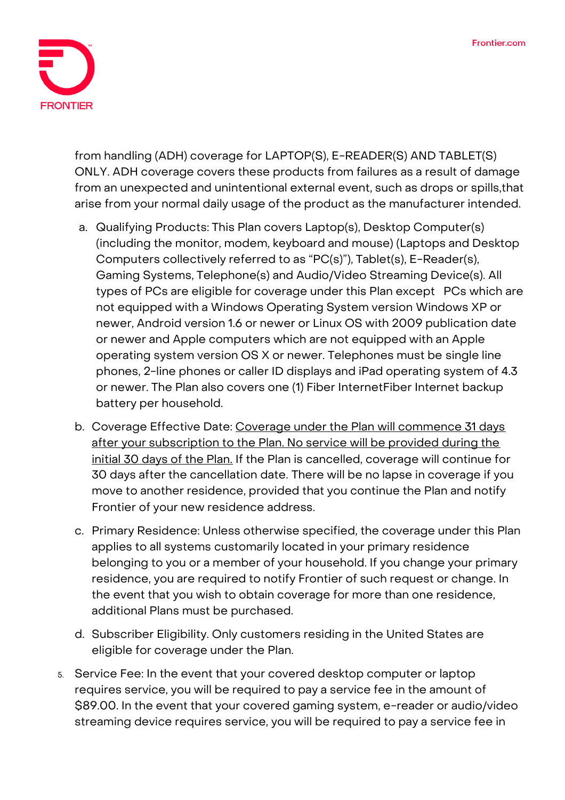

from handling (ADH) coverage for **LAPTOP(S), E-READER(S) AND TABLET(S) ONLY**. ADH coverage covers these products from failures as a result of damage from an unexpected and unintentional external event, such as drops or spills,that arise from your normal daily usage of the product as the manufacturer intended.

- a. Qualifying Products: This Plan covers Laptop(s), Desktop Computer(s) (including the monitor, modem, keyboard and mouse) (Laptops and Desktop Computers collectively referred to as "PC(s)"), Tablet(s), E-Reader(s), Gaming Systems, Telephone(s) and Audio/Video Streaming Device(s). All types of PCs are eligible for coverage under this Plan except PCs which are not equipped with a Windows Operating System version Windows XP or newer, Android version 1.6 or newer or Linux OS with 2009 publication date or newer and Apple computers which are not equipped with an Apple operating system version OS X or newer. Telephones must be single line phones, 2-line phones or caller ID displays and iPad operating system of 4.3 or newer. The Plan also covers one (1) Fiber InternetFiber Internet backup battery per household.
- b. Coverage Effective Date: **Coverage under the Plan will commence 31 days after your subscription to the Plan. No service will be provided during the initial 30 days of the Plan. If the Plan is cancelled, coverage will continue for 30 days after the cancellation date.** There will be no lapse in coverage if you move to another residence, provided that you continue the Plan and notify Frontier of your new residence address.
- c. Primary Residence: Unless otherwise specified, the coverage under this Plan applies to all systems customarily located in your primary residence belonging to you or a member of your household. If you change your primary residence, you are required to notify Frontier of such request or change. In the event that you wish to obtain coverage for more than one residence, additional Plans must be purchased.
- d. Subscriber Eligibility. Only customers residing in the United States are eligible for coverage under the Plan.
- 5. **Service Fee:** In the event that your covered desktop computer or laptop requires service, you will be required to pay a service fee in the amount of \$89.00. In the event that your covered gaming system, e-reader or audio/video streaming device requires service, you will be required to pay a service fee in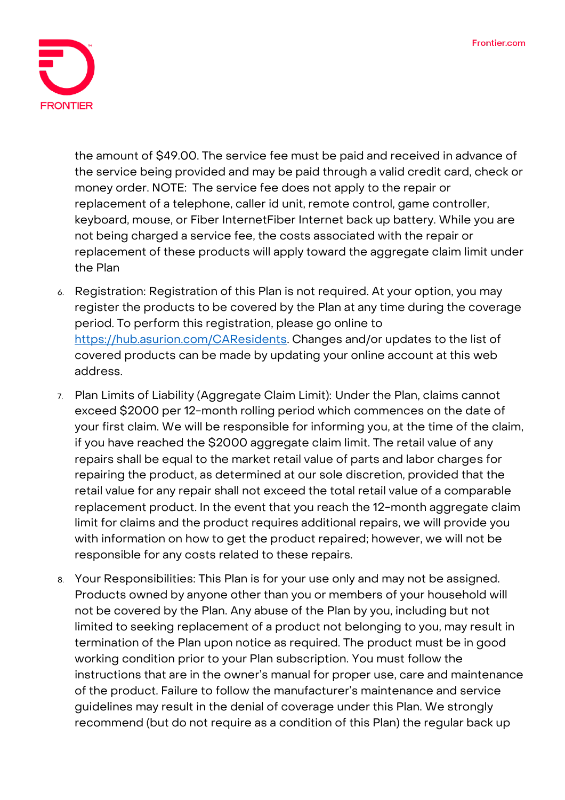

the amount of \$49.00. The service fee must be paid and received in advance of the service being provided and may be paid through a valid credit card, check or money order. NOTE: The service fee does not apply to the repair or replacement of a telephone, caller id unit, remote control, game controller, keyboard, mouse, or Fiber InternetFiber Internet back up battery. While you are not being charged a service fee, the costs associated with the repair or replacement of these products will apply toward the aggregate claim limit under the Plan

- 6. **Registration:** Registration of this Plan is not required. At your option, you may register the products to be covered by the Plan at any time during the coverage period. To perform this registration, please go online to [https://hub.asurion.com/CAResidents.](https://hub.asurion.com/CAResidents) Changes and/or updates to the list of covered products can be made by updating your online account at this web address.
- 7. **Plan Limits of Liability (Aggregate Claim Limit):** Under the Plan, claims cannot exceed \$2000 per 12-month rolling period which commences on the date of your first claim. We will be responsible for informing you, at the time of the claim, if you have reached the \$2000 aggregate claim limit. The retail value of any repairs shall be equal to the market retail value of parts and labor charges for repairing the product, as determined at our sole discretion, provided that the retail value for any repair shall not exceed the total retail value of a comparable replacement product. In the event that you reach the 12-month aggregate claim limit for claims and the product requires additional repairs, we will provide you with information on how to get the product repaired; however, we will not be responsible for any costs related to these repairs.
- 8. **Your Responsibilities:** This Plan is for your use only and may not be assigned. Products owned by anyone other than you or members of your household will not be covered by the Plan. Any abuse of the Plan by you, including but not limited to seeking replacement of a product not belonging to you, may result in termination of the Plan upon notice as required. The product must be in good working condition prior to your Plan subscription. You must follow the instructions that are in the owner's manual for proper use, care and maintenance of the product. Failure to follow the manufacturer's maintenance and service guidelines may result in the denial of coverage under this Plan. We strongly recommend (but do not require as a condition of this Plan) the regular back up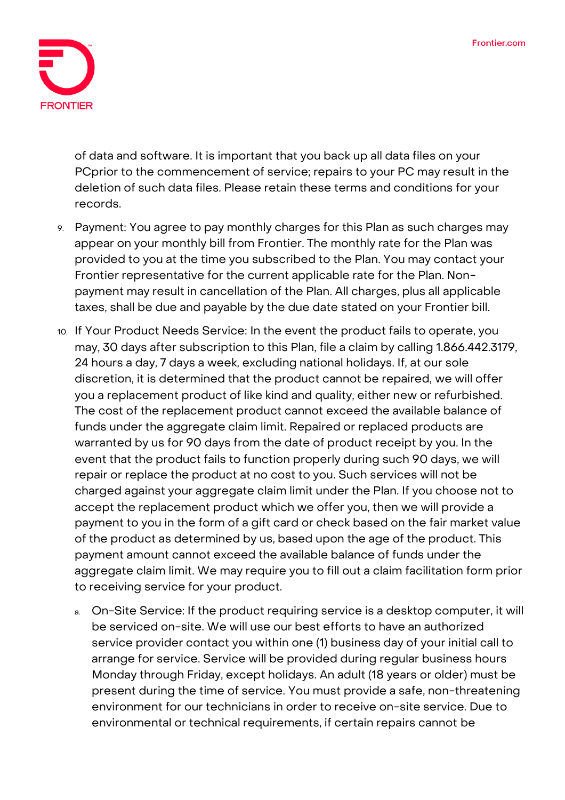

of data and software. It is important that you back up all data files on your PCprior to the commencement of service; repairs to your PC may result in the deletion of such data files. Please retain these terms and conditions for your records.

- 9. **Payment:** You agree to pay monthly charges for this Plan as such charges may appear on your monthly bill from Frontier. The monthly rate for the Plan was provided to you at the time you subscribed to the Plan. You may contact your Frontier representative for the current applicable rate for the Plan. Nonpayment may result in cancellation of the Plan. All charges, plus all applicable taxes, shall be due and payable by the due date stated on your Frontier bill.
- 10. **If Your Product Needs Service:** In the event the product fails to operate, you may, 30 days after subscription to this Plan, file a claim by calling 1.866.442.3179, 24 hours a day, 7 days a week, excluding national holidays. If, at our sole discretion, it is determined that the product cannot be repaired, we will offer you a replacement product of like kind and quality, either new or refurbished. The cost of the replacement product cannot exceed the available balance of funds under the aggregate claim limit. Repaired or replaced products are warranted by us for 90 days from the date of product receipt by you. In the event that the product fails to function properly during such 90 days, we will repair or replace the product at no cost to you. Such services will not be charged against your aggregate claim limit under the Plan. If you choose not to accept the replacement product which we offer you, then we will provide a payment to you in the form of a gift card or check based on the fair market value of the product as determined by us, based upon the age of the product. This payment amount cannot exceed the available balance of funds under the aggregate claim limit. We may require you to fill out a claim facilitation form prior to receiving service for your product.
	- a. On-Site Service: If the product requiring service is a desktop computer, it will be serviced on-site. We will use our best efforts to have an authorized service provider contact you within one (1) business day of your initial call to arrange for service. Service will be provided during regular business hours Monday through Friday, except holidays. An adult (18 years or older) must be present during the time of service. You must provide a safe, non-threatening environment for our technicians in order to receive on-site service. Due to environmental or technical requirements, if certain repairs cannot be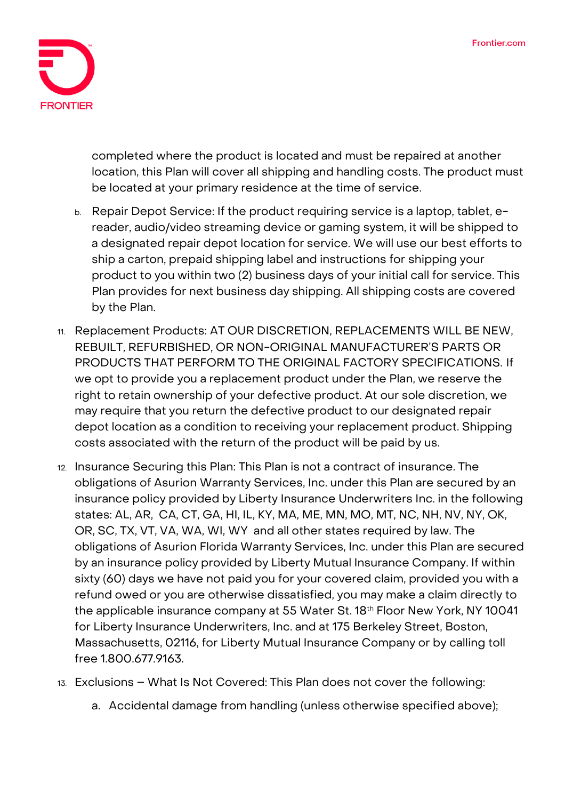

completed where the product is located and must be repaired at another location, this Plan will cover all shipping and handling costs. The product must be located at your primary residence at the time of service.

- b. Repair Depot Service: If the product requiring service is a laptop, tablet, ereader, audio/video streaming device or gaming system, it will be shipped to a designated repair depot location for service. We will use our best efforts to ship a carton, prepaid shipping label and instructions for shipping your product to you within two (2) business days of your initial call for service. This Plan provides for next business day shipping. All shipping costs are covered by the Plan.
- 11. **Replacement Products: AT OUR DISCRETION, REPLACEMENTS WILL BE NEW, REBUILT, REFURBISHED, OR NON-ORIGINAL MANUFACTURER'S PARTS OR PRODUCTS THAT PERFORM TO THE ORIGINAL FACTORY SPECIFICATIONS.** If we opt to provide you a replacement product under the Plan, we reserve the right to retain ownership of your defective product. At our sole discretion, we may require that you return the defective product to our designated repair depot location as a condition to receiving your replacement product. Shipping costs associated with the return of the product will be paid by us.
- 12. **Insurance Securing this Plan:** This Plan is not a contract of insurance. The obligations of Asurion Warranty Services, Inc. under this Plan are secured by an insurance policy provided by Liberty Insurance Underwriters Inc. in the following states: AL, AR, CA, CT, GA, HI, IL, KY, MA, ME, MN, MO, MT, NC, NH, NV, NY, OK, OR, SC, TX, VT, VA, WA, WI, WY and all other states required by law. The obligations of Asurion Florida Warranty Services, Inc. under this Plan are secured by an insurance policy provided by Liberty Mutual Insurance Company. If within sixty (60) days we have not paid you for your covered claim, provided you with a refund owed or you are otherwise dissatisfied, you may make a claim directly to the applicable insurance company at 55 Water St. 18<sup>th</sup> Floor New York, NY 10041 for Liberty Insurance Underwriters, Inc. and at 175 Berkeley Street, Boston, Massachusetts, 02116, for Liberty Mutual Insurance Company or by calling toll free 1.800.677.9163.
- 13. **Exclusions – What Is Not Covered: This Plan does not cover the following:**
	- **a. Accidental damage from handling (unless otherwise specified above);**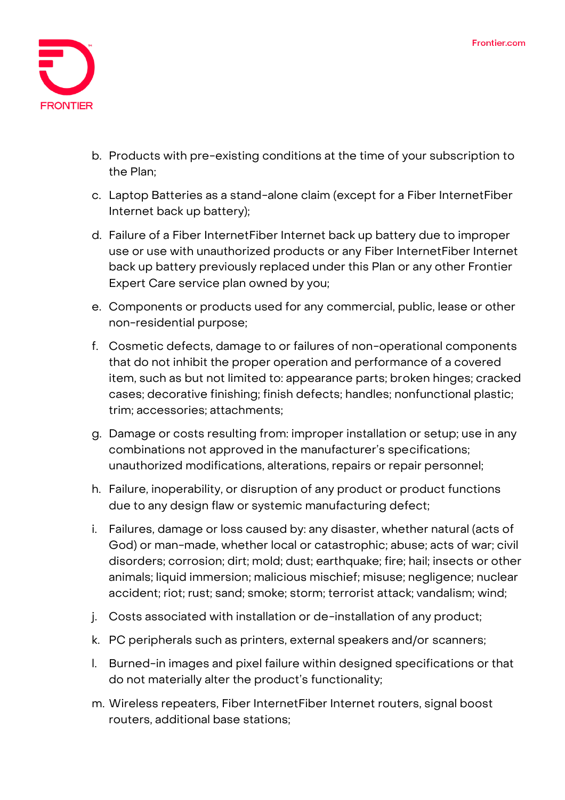

- **b. Products with pre-existing conditions at the time of your subscription to the Plan;**
- **c. Laptop Batteries as a stand-alone claim (except for a Fiber InternetFiber Internet back up battery);**
- **d. Failure of a Fiber InternetFiber Internet back up battery due to improper use or use with unauthorized products or any Fiber InternetFiber Internet back up battery previously replaced under this Plan or any other Frontier Expert Care service plan owned by you;**
- **e. Components or products used for any commercial, public, lease or other non-residential purpose;**
- **f. Cosmetic defects, damage to or failures of non-operational components that do not inhibit the proper operation and performance of a covered item, such as but not limited to: appearance parts; broken hinges; cracked cases; decorative finishing; finish defects; handles; nonfunctional plastic; trim; accessories; attachments;**
- **g. Damage or costs resulting from: improper installation or setup; use in any combinations not approved in the manufacturer's specifications; unauthorized modifications, alterations, repairs or repair personnel;**
- **h. Failure, inoperability, or disruption of any product or product functions due to any design flaw or systemic manufacturing defect;**
- **i. Failures, damage or loss caused by: any disaster, whether natural (acts of God) or man-made, whether local or catastrophic; abuse; acts of war; civil disorders; corrosion; dirt; mold; dust; earthquake; fire; hail; insects or other animals; liquid immersion; malicious mischief; misuse; negligence; nuclear accident; riot; rust; sand; smoke; storm; terrorist attack; vandalism; wind;**
- **j. Costs associated with installation or de-installation of any product;**
- **k. PC peripherals such as printers, external speakers and/or scanners;**
- **l. Burned-in images and pixel failure within designed specifications or that do not materially alter the product's functionality;**
- **m. Wireless repeaters, Fiber InternetFiber Internet routers, signal boost routers, additional base stations;**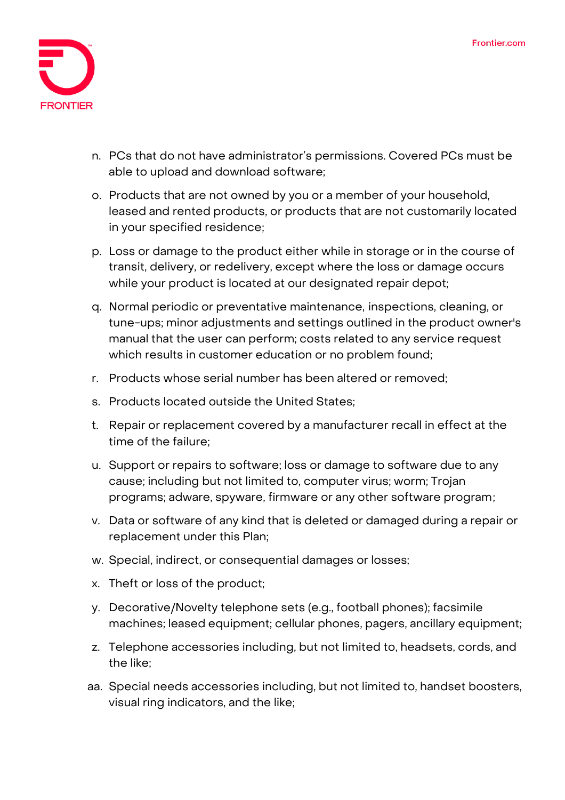

- **n. PCs that do not have administrator's permissions. Covered PCs must be able to upload and download software;**
- **o. Products that are not owned by you or a member of your household, leased and rented products, or products that are not customarily located in your specified residence;**
- **p. Loss or damage to the product either while in storage or in the course of transit, delivery, or redelivery, except where the loss or damage occurs while your product is located at our designated repair depot;**
- **q. Normal periodic or preventative maintenance, inspections, cleaning, or tune-ups; minor adjustments and settings outlined in the product owner's manual that the user can perform; costs related to any service request which results in customer education or no problem found;**
- **r. Products whose serial number has been altered or removed;**
- **s. Products located outside the United States;**
- **t. Repair or replacement covered by a manufacturer recall in effect at the time of the failure;**
- **u. Support or repairs to software; loss or damage to software due to any cause; including but not limited to, computer virus; worm; Trojan programs; adware, spyware, firmware or any other software program;**
- **v. Data or software of any kind that is deleted or damaged during a repair or replacement under this Plan;**
- **w. Special, indirect, or consequential damages or losses;**
- **x. Theft or loss of the product;**
- **y. Decorative/Novelty telephone sets (e.g., football phones); facsimile machines; leased equipment; cellular phones, pagers, ancillary equipment;**
- **z. Telephone accessories including, but not limited to, headsets, cords, and the like;**
- **aa. Special needs accessories including, but not limited to, handset boosters, visual ring indicators, and the like;**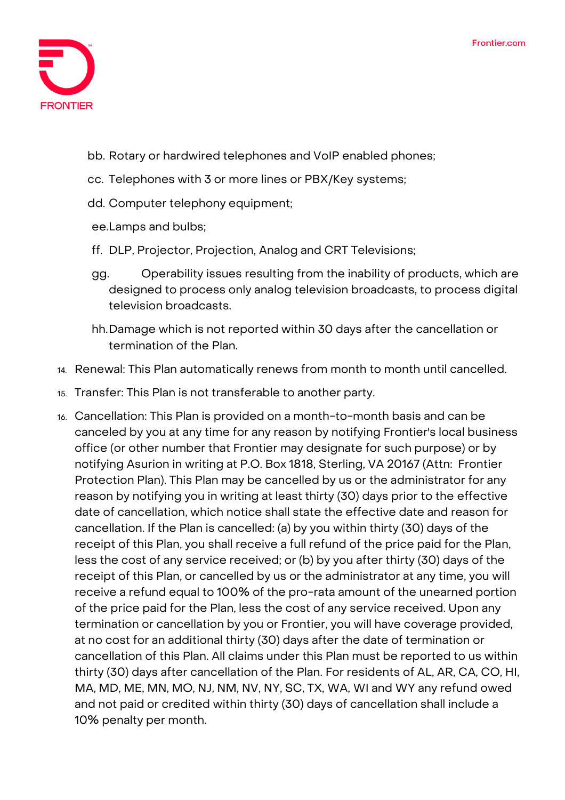

- **bb. Rotary or hardwired telephones and VoIP enabled phones;**
- **cc. Telephones with 3 or more lines or PBX/Key systems;**
- **dd. Computer telephony equipment;**
- **ee.Lamps and bulbs;**
- **ff. DLP, Projector, Projection, Analog and CRT Televisions;**
- **gg. Operability issues resulting from the inability of products, which are designed to process only analog television broadcasts, to process digital television broadcasts.**
- **hh.Damage which is not reported within 30 days after the cancellation or termination of the Plan.**
- 14. **Renewal:** This Plan automatically renews from month to month until cancelled.
- 15. **Transfer:** This Plan is not transferable to another party.
- 16. **Cancellation:** This Plan is provided on a month-to-month basis and can be canceled by you at any time for any reason by notifying Frontier's local business office (or other number that Frontier may designate for such purpose) or by notifying Asurion in writing at P.O. Box 1818, Sterling, VA 20167 (Attn: Frontier Protection Plan). This Plan may be cancelled by us or the administrator for any reason by notifying you in writing at least thirty (30) days prior to the effective date of cancellation, which notice shall state the effective date and reason for cancellation. If the Plan is cancelled: (a) by you within thirty (30) days of the receipt of this Plan, you shall receive a full refund of the price paid for the Plan, less the cost of any service received; or (b) by you after thirty (30) days of the receipt of this Plan, or cancelled by us or the administrator at any time, you will receive a refund equal to 100% of the pro-rata amount of the unearned portion of the price paid for the Plan, less the cost of any service received. Upon any termination or cancellation by you or Frontier, you will have coverage provided, at no cost for an additional thirty (30) days after the date of termination or cancellation of this Plan. All claims under this Plan must be reported to us within thirty (30) days after cancellation of the Plan. For residents of AL, AR, CA, CO, HI, MA, MD, ME, MN, MO, NJ, NM, NV, NY, SC, TX, WA, WI and WY any refund owed and not paid or credited within thirty (30) days of cancellation shall include a 10% penalty per month.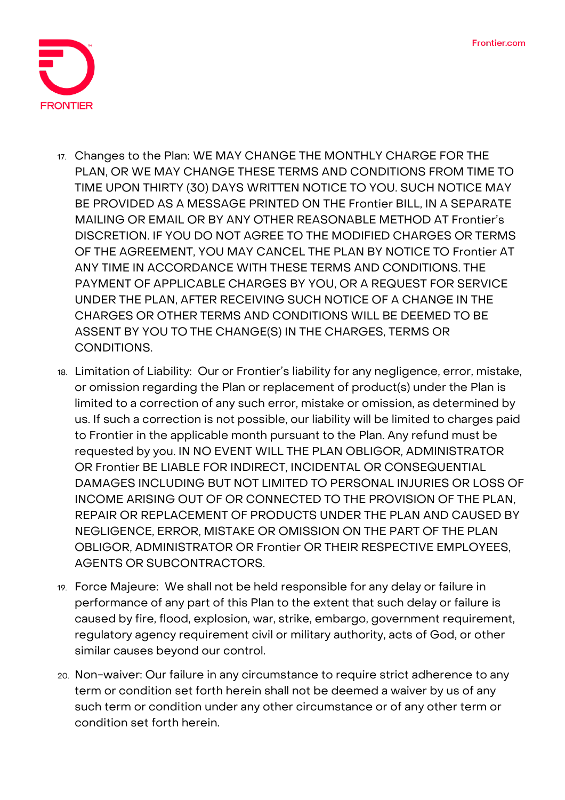

- 17. **Changes to the Plan:** WE MAY CHANGE THE MONTHLY CHARGE FOR THE PLAN, OR WE MAY CHANGE THESE TERMS AND CONDITIONS FROM TIME TO TIME UPON THIRTY (30) DAYS WRITTEN NOTICE TO YOU. SUCH NOTICE MAY BE PROVIDED AS A MESSAGE PRINTED ON THE Frontier BILL, IN A SEPARATE MAILING OR EMAIL OR BY ANY OTHER REASONABLE METHOD AT Frontier's DISCRETION. IF YOU DO NOT AGREE TO THE MODIFIED CHARGES OR TERMS OF THE AGREEMENT, YOU MAY CANCEL THE PLAN BY NOTICE TO Frontier AT ANY TIME IN ACCORDANCE WITH THESE TERMS AND CONDITIONS. THE PAYMENT OF APPLICABLE CHARGES BY YOU, OR A REQUEST FOR SERVICE UNDER THE PLAN, AFTER RECEIVING SUCH NOTICE OF A CHANGE IN THE CHARGES OR OTHER TERMS AND CONDITIONS WILL BE DEEMED TO BE ASSENT BY YOU TO THE CHANGE(S) IN THE CHARGES, TERMS OR CONDITIONS.
- 18. **Limitation of Liability:** Our or Frontier's liability for any negligence, error, mistake, or omission regarding the Plan or replacement of product(s) under the Plan is limited to a correction of any such error, mistake or omission, as determined by us. If such a correction is not possible, our liability will be limited to charges paid to Frontier in the applicable month pursuant to the Plan. Any refund must be requested by you. IN NO EVENT WILL THE PLAN OBLIGOR, ADMINISTRATOR OR Frontier BE LIABLE FOR INDIRECT, INCIDENTAL OR CONSEQUENTIAL DAMAGES INCLUDING BUT NOT LIMITED TO PERSONAL INJURIES OR LOSS OF INCOME ARISING OUT OF OR CONNECTED TO THE PROVISION OF THE PLAN, REPAIR OR REPLACEMENT OF PRODUCTS UNDER THE PLAN AND CAUSED BY NEGLIGENCE, ERROR, MISTAKE OR OMISSION ON THE PART OF THE PLAN OBLIGOR, ADMINISTRATOR OR Frontier OR THEIR RESPECTIVE EMPLOYEES, AGENTS OR SUBCONTRACTORS.
- 19. **Force Majeure:** We shall not be held responsible for any delay or failure in performance of any part of this Plan to the extent that such delay or failure is caused by fire, flood, explosion, war, strike, embargo, government requirement, regulatory agency requirement civil or military authority, acts of God, or other similar causes beyond our control.
- 20. **Non-waiver:** Our failure in any circumstance to require strict adherence to any term or condition set forth herein shall not be deemed a waiver by us of any such term or condition under any other circumstance or of any other term or condition set forth herein.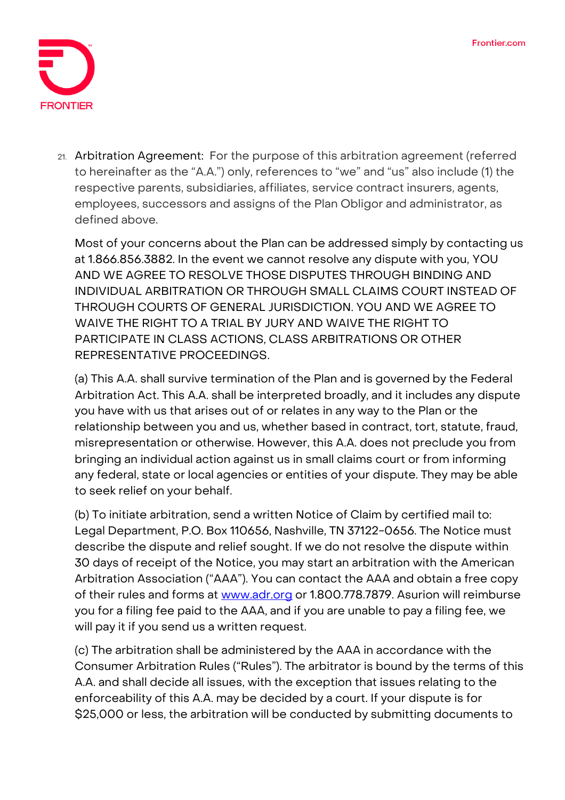

21. **Arbitration Agreement: For the purpose of this arbitration agreement (referred to hereinafter as the "A.A.") only, references to "we" and "us" also include (1) the respective parents, subsidiaries, affiliates, service contract insurers, agents, employees, successors and assigns of the Plan Obligor and administrator, as defined above.**

Most of your concerns about the Plan can be addressed simply by contacting us at 1.866.856.3882. In the event we cannot resolve any dispute with you, **YOU AND WE AGREE TO RESOLVE THOSE DISPUTES THROUGH BINDING AND INDIVIDUAL ARBITRATION OR THROUGH SMALL CLAIMS COURT INSTEAD OF THROUGH COURTS OF GENERAL JURISDICTION. YOU AND WE AGREE TO WAIVE THE RIGHT TO A TRIAL BY JURY AND WAIVE THE RIGHT TO PARTICIPATE IN CLASS ACTIONS, CLASS ARBITRATIONS OR OTHER REPRESENTATIVE PROCEEDINGS**.

**(a)** This A.A. shall survive termination of the Plan and is governed by the Federal Arbitration Act. This A.A. shall be interpreted broadly, and it includes any dispute you have with us that arises out of or relates in any way to the Plan or the relationship between you and us, whether based in contract, tort, statute, fraud, misrepresentation or otherwise. However, this A.A. does not preclude you from bringing an individual action against us in small claims court or from informing any federal, state or local agencies or entities of your dispute. They may be able to seek relief on your behalf.

**(b)** To initiate arbitration, send a written Notice of Claim by certified mail to: Legal Department, P.O. Box 110656, Nashville, TN 37122-0656. The Notice must describe the dispute and relief sought. If we do not resolve the dispute within 30 days of receipt of the Notice, you may start an arbitration with the American Arbitration Association ("AAA"). You can contact the AAA and obtain a free copy of their rules and forms at [www.adr.org](http://www.adr.org/) or 1.800.778.7879. Asurion will reimburse you for a filing fee paid to the AAA, and if you are unable to pay a filing fee, we will pay it if you send us a written request.

**(c)** The arbitration shall be administered by the AAA in accordance with the Consumer Arbitration Rules ("Rules"). The arbitrator is bound by the terms of this A.A. and shall decide all issues, with the exception that issues relating to the enforceability of this A.A. may be decided by a court. If your dispute is for \$25,000 or less, the arbitration will be conducted by submitting documents to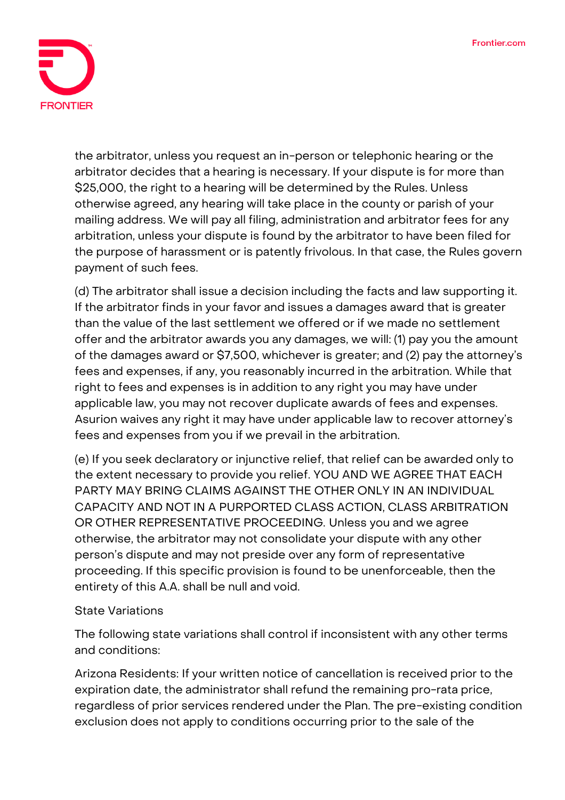

the arbitrator, unless you request an in-person or telephonic hearing or the arbitrator decides that a hearing is necessary. If your dispute is for more than \$25,000, the right to a hearing will be determined by the Rules. Unless otherwise agreed, any hearing will take place in the county or parish of your mailing address. We will pay all filing, administration and arbitrator fees for any arbitration, unless your dispute is found by the arbitrator to have been filed for the purpose of harassment or is patently frivolous. In that case, the Rules govern payment of such fees.

**(d)** The arbitrator shall issue a decision including the facts and law supporting it. If the arbitrator finds in your favor and issues a damages award that is greater than the value of the last settlement we offered or if we made no settlement offer and the arbitrator awards you any damages, we will: (1) pay you the amount of the damages award or \$7,500, whichever is greater; and (2) pay the attorney's fees and expenses, if any, you reasonably incurred in the arbitration. While that right to fees and expenses is in addition to any right you may have under applicable law, you may not recover duplicate awards of fees and expenses. Asurion waives any right it may have under applicable law to recover attorney's fees and expenses from you if we prevail in the arbitration.

**(e)** If you seek declaratory or injunctive relief, that relief can be awarded only to the extent necessary to provide you relief. **YOU AND WE AGREE THAT EACH PARTY MAY BRING CLAIMS AGAINST THE OTHER ONLY IN AN INDIVIDUAL CAPACITY AND NOT IN A PURPORTED CLASS ACTION, CLASS ARBITRATION OR OTHER REPRESENTATIVE PROCEEDING.** Unless you and we agree otherwise, the arbitrator may not consolidate your dispute with any other person's dispute and may not preside over any form of representative proceeding. If this specific provision is found to be unenforceable, then the entirety of this A.A. shall be null and void.

## **State Variations**

The following state variations shall control if inconsistent with any other terms and conditions:

**Arizona Residents:** If your written notice of cancellation is received prior to the expiration date, the administrator shall refund the remaining pro-rata price, regardless of prior services rendered under the Plan. The pre-existing condition exclusion does not apply to conditions occurring prior to the sale of the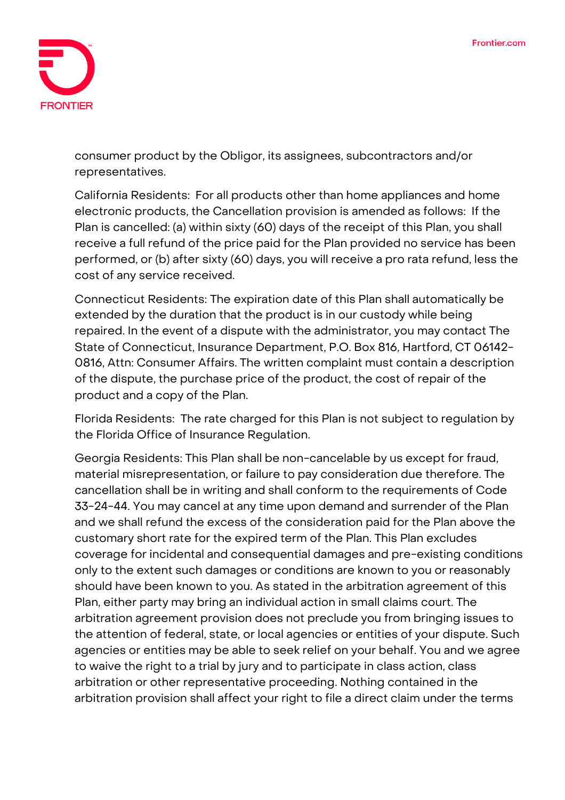

consumer product by the Obligor, its assignees, subcontractors and/or representatives.

**California Residents:** For all products other than home appliances and home electronic products, the Cancellation provision is amended as follows: If the Plan is cancelled: (a) within sixty (60) days of the receipt of this Plan, you shall receive a full refund of the price paid for the Plan provided no service has been performed, or (b) after sixty (60) days, you will receive a pro rata refund, less the cost of any service received.

**Connecticut Residents:** The expiration date of this Plan shall automatically be extended by the duration that the product is in our custody while being repaired. In the event of a dispute with the administrator, you may contact The State of Connecticut, Insurance Department, P.O. Box 816, Hartford, CT 06142- 0816, Attn: Consumer Affairs. The written complaint must contain a description of the dispute, the purchase price of the product, the cost of repair of the product and a copy of the Plan.

**Florida Residents:** The rate charged for this Plan is not subject to regulation by the Florida Office of Insurance Regulation.

**Georgia Residents:** This Plan shall be non-cancelable by us except for fraud, material misrepresentation, or failure to pay consideration due therefore. The cancellation shall be in writing and shall conform to the requirements of Code 33-24-44. You may cancel at any time upon demand and surrender of the Plan and we shall refund the excess of the consideration paid for the Plan above the customary short rate for the expired term of the Plan. This Plan excludes coverage for incidental and consequential damages and pre-existing conditions only to the extent such damages or conditions are known to you or reasonably should have been known to you. As stated in the arbitration agreement of this Plan, either party may bring an individual action in small claims court. The arbitration agreement provision does not preclude you from bringing issues to the attention of federal, state, or local agencies or entities of your dispute. Such agencies or entities may be able to seek relief on your behalf. You and we agree to waive the right to a trial by jury and to participate in class action, class arbitration or other representative proceeding. Nothing contained in the arbitration provision shall affect your right to file a direct claim under the terms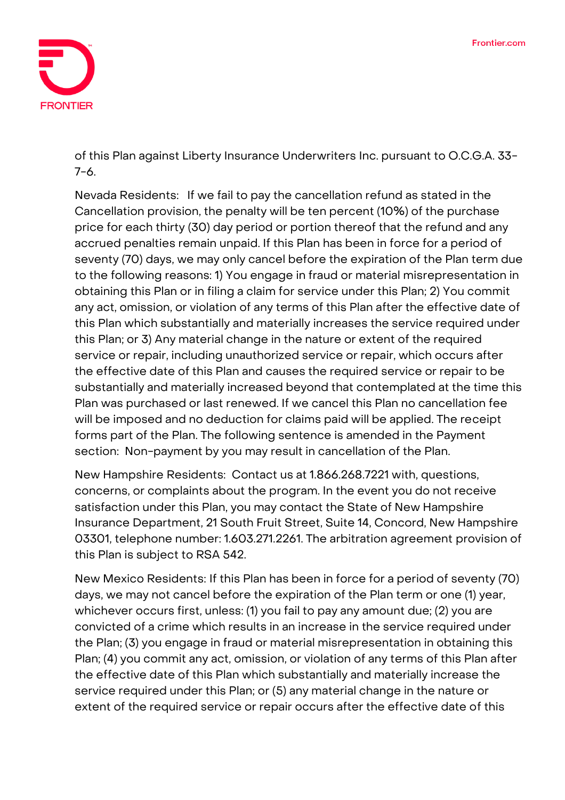

of this Plan against Liberty Insurance Underwriters Inc. pursuant to O.C.G.A. 33- 7-6.

**Nevada Residents:** If we fail to pay the cancellation refund as stated in the Cancellation provision, the penalty will be ten percent (10%) of the purchase price for each thirty (30) day period or portion thereof that the refund and any accrued penalties remain unpaid. If this Plan has been in force for a period of seventy (70) days, we may only cancel before the expiration of the Plan term due to the following reasons: 1) You engage in fraud or material misrepresentation in obtaining this Plan or in filing a claim for service under this Plan; 2) You commit any act, omission, or violation of any terms of this Plan after the effective date of this Plan which substantially and materially increases the service required under this Plan; or 3) Any material change in the nature or extent of the required service or repair, including unauthorized service or repair, which occurs after the effective date of this Plan and causes the required service or repair to be substantially and materially increased beyond that contemplated at the time this Plan was purchased or last renewed. If we cancel this Plan no cancellation fee will be imposed and no deduction for claims paid will be applied. The receipt forms part of the Plan. The following sentence is amended in the Payment section: Non-payment by you may result in cancellation of the Plan.

**New Hampshire Residents:** Contact us at 1.866.268.7221 with, questions, concerns, or complaints about the program. In the event you do not receive satisfaction under this Plan, you may contact the State of New Hampshire Insurance Department, 21 South Fruit Street, Suite 14, Concord, New Hampshire 03301, telephone number: 1.603.271.2261. The arbitration agreement provision of this Plan is subject to RSA 542.

**New Mexico Residents:** If this Plan has been in force for a period of seventy (70) days, we may not cancel before the expiration of the Plan term or one (1) year, whichever occurs first, unless: (1) you fail to pay any amount due; (2) you are convicted of a crime which results in an increase in the service required under the Plan; (3) you engage in fraud or material misrepresentation in obtaining this Plan; (4) you commit any act, omission, or violation of any terms of this Plan after the effective date of this Plan which substantially and materially increase the service required under this Plan; or (5) any material change in the nature or extent of the required service or repair occurs after the effective date of this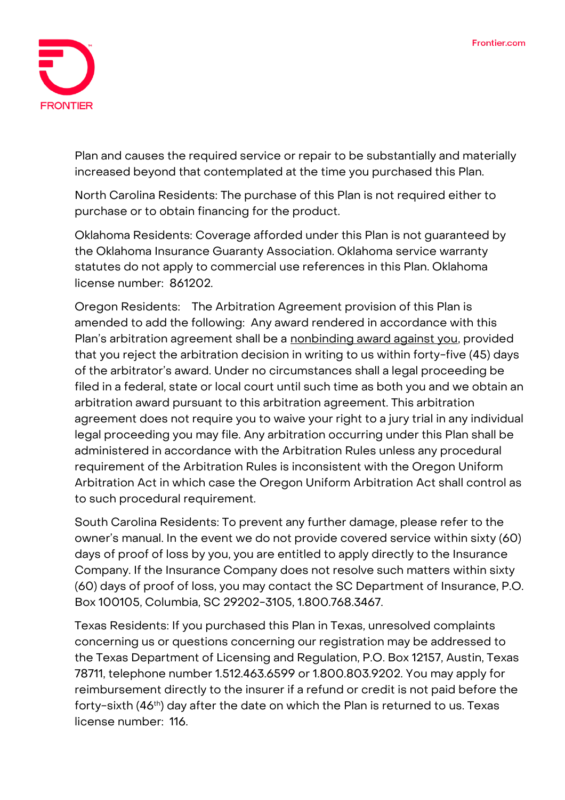

Plan and causes the required service or repair to be substantially and materially increased beyond that contemplated at the time you purchased this Plan.

**North Carolina Residents:** The purchase of this Plan is not required either to purchase or to obtain financing for the product.

**Oklahoma Residents:** Coverage afforded under this Plan is not guaranteed by the Oklahoma Insurance Guaranty Association. Oklahoma service warranty statutes do not apply to commercial use references in this Plan. Oklahoma license number: 861202.

**Oregon Residents:** The Arbitration Agreement provision of this Plan is amended to add the following: **Any award rendered in accordance with this Plan's arbitration agreement shall be a nonbinding award against you,** provided that you reject the arbitration decision in writing to us within forty-five (45) days of the arbitrator's award. Under no circumstances shall a legal proceeding be filed in a federal, state or local court until such time as both you and we obtain an arbitration award pursuant to this arbitration agreement. This arbitration agreement does not require you to waive your right to a jury trial in any individual legal proceeding you may file. Any arbitration occurring under this Plan shall be administered in accordance with the Arbitration Rules unless any procedural requirement of the Arbitration Rules is inconsistent with the Oregon Uniform Arbitration Act in which case the Oregon Uniform Arbitration Act shall control as to such procedural requirement.

**South Carolina Residents:** To prevent any further damage, please refer to the owner's manual. In the event we do not provide covered service within sixty (60) days of proof of loss by you, you are entitled to apply directly to the Insurance Company. If the Insurance Company does not resolve such matters within sixty (60) days of proof of loss, you may contact the SC Department of Insurance, P.O. Box 100105, Columbia, SC 29202-3105, 1.800.768.3467.

**Texas Residents:** If you purchased this Plan in Texas, unresolved complaints concerning us or questions concerning our registration may be addressed to the Texas Department of Licensing and Regulation, P.O. Box 12157, Austin, Texas 78711, telephone number 1.512.463.6599 or 1.800.803.9202. You may apply for reimbursement directly to the insurer if a refund or credit is not paid before the forty-sixth (46<sup>th</sup>) day after the date on which the Plan is returned to us. Texas license number: 116.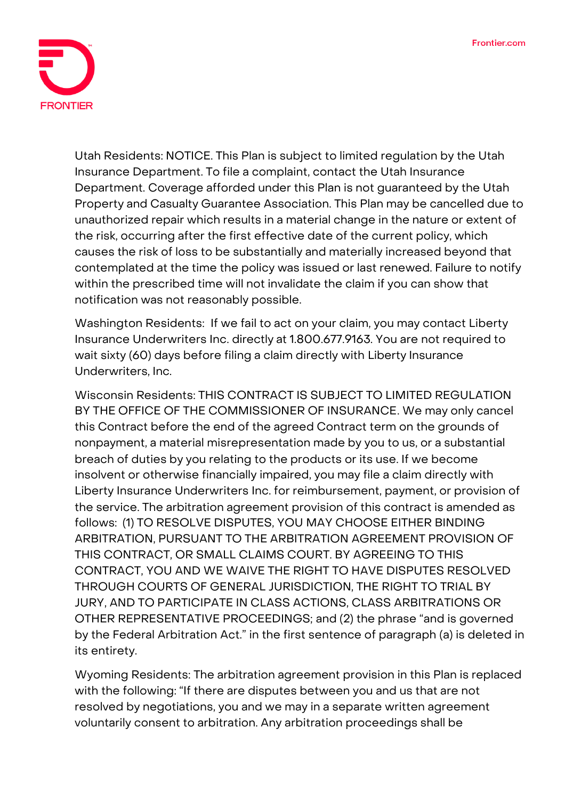

**Utah Residents: NOTICE. This Plan is subject to limited regulation by the Utah Insurance Department. To file a complaint, contact the Utah Insurance Department.** Coverage afforded under this Plan is not guaranteed by the Utah Property and Casualty Guarantee Association. This Plan may be cancelled due to unauthorized repair which results in a material change in the nature or extent of the risk, occurring after the first effective date of the current policy, which causes the risk of loss to be substantially and materially increased beyond that contemplated at the time the policy was issued or last renewed. Failure to notify within the prescribed time will not invalidate the claim if you can show that notification was not reasonably possible.

**Washington Residents:** If we fail to act on your claim, you may contact Liberty Insurance Underwriters Inc. directly at 1.800.677.9163. You are not required to wait sixty (60) days before filing a claim directly with Liberty Insurance Underwriters, Inc.

**Wisconsin Residents: THIS CONTRACT IS SUBJECT TO LIMITED REGULATION BY THE OFFICE OF THE COMMISSIONER OF INSURANCE**. We may only cancel this Contract before the end of the agreed Contract term on the grounds of nonpayment, a material misrepresentation made by you to us, or a substantial breach of duties by you relating to the products or its use. If we become insolvent or otherwise financially impaired, you may file a claim directly with Liberty Insurance Underwriters Inc. for reimbursement, payment, or provision of the service. The arbitration agreement provision of this contract is amended as follows: **(1) TO RESOLVE DISPUTES, YOU MAY CHOOSE EITHER BINDING ARBITRATION, PURSUANT TO THE ARBITRATION AGREEMENT PROVISION OF THIS CONTRACT, OR SMALL CLAIMS COURT. BY AGREEING TO THIS CONTRACT, YOU AND WE WAIVE THE RIGHT TO HAVE DISPUTES RESOLVED THROUGH COURTS OF GENERAL JURISDICTION, THE RIGHT TO TRIAL BY JURY, AND TO PARTICIPATE IN CLASS ACTIONS, CLASS ARBITRATIONS OR OTHER REPRESENTATIVE PROCEEDINGS;** and **(2)** the phrase "and is governed by the Federal Arbitration Act." in the first sentence of paragraph **(a)** is deleted in its entirety.

**Wyoming Residents:** The arbitration agreement provision in this Plan is replaced with the following: "If there are disputes between you and us that are not resolved by negotiations, you and we may in a separate written agreement voluntarily consent to arbitration. Any arbitration proceedings shall be